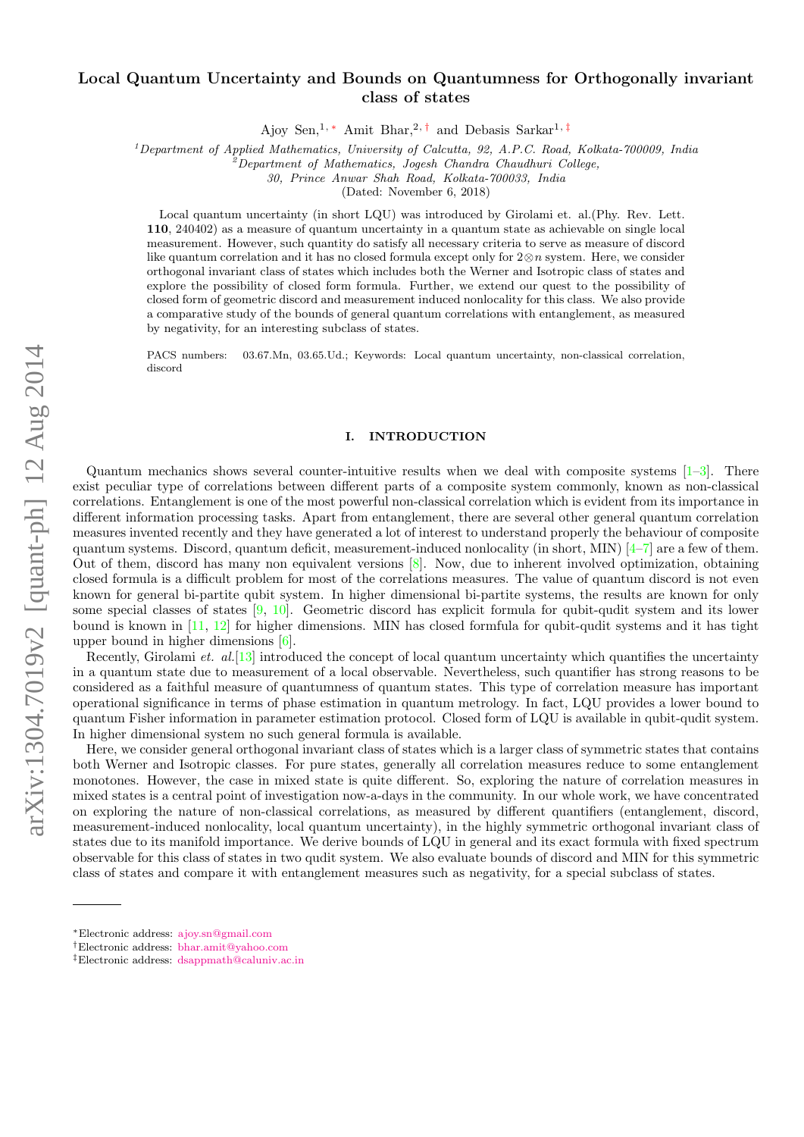# $arXiv:1304.7019v2$  [quant-ph] 12 Aug 2014 arXiv:1304.7019v2 [quant-ph] 12 Aug 2014

# Local Quantum Uncertainty and Bounds on Quantumness for Orthogonally invariant class of states

Ajoy Sen,<sup>1,\*</sup> Amit Bhar,<sup>2,[†](#page-0-1)</sup> and Debasis Sarkar<sup>1,[‡](#page-0-2)</sup>

 $1$ Department of Applied Mathematics, University of Calcutta, 92, A.P.C. Road, Kolkata-700009, India

<sup>2</sup>Department of Mathematics, Jogesh Chandra Chaudhuri College,

30, Prince Anwar Shah Road, Kolkata-700033, India

(Dated: November 6, 2018)

Local quantum uncertainty (in short LQU) was introduced by Girolami et. al.(Phy. Rev. Lett. 110, 240402) as a measure of quantum uncertainty in a quantum state as achievable on single local measurement. However, such quantity do satisfy all necessary criteria to serve as measure of discord like quantum correlation and it has no closed formula except only for  $2\otimes n$  system. Here, we consider orthogonal invariant class of states which includes both the Werner and Isotropic class of states and explore the possibility of closed form formula. Further, we extend our quest to the possibility of closed form of geometric discord and measurement induced nonlocality for this class. We also provide a comparative study of the bounds of general quantum correlations with entanglement, as measured by negativity, for an interesting subclass of states.

PACS numbers: 03.67.Mn, 03.65.Ud.; Keywords: Local quantum uncertainty, non-classical correlation, discord

## I. INTRODUCTION

Quantum mechanics shows several counter-intuitive results when we deal with composite systems  $[1-3]$  $[1-3]$ . There exist peculiar type of correlations between different parts of a composite system commonly, known as non-classical correlations. Entanglement is one of the most powerful non-classical correlation which is evident from its importance in different information processing tasks. Apart from entanglement, there are several other general quantum correlation measures invented recently and they have generated a lot of interest to understand properly the behaviour of composite quantum systems. Discord, quantum deficit, measurement-induced nonlocality (in short, MIN)  $[4-7]$  $[4-7]$  are a few of them. Out of them, discord has many non equivalent versions [\[8\]](#page-12-4). Now, due to inherent involved optimization, obtaining closed formula is a difficult problem for most of the correlations measures. The value of quantum discord is not even known for general bi-partite qubit system. In higher dimensional bi-partite systems, the results are known for only some special classes of states [\[9,](#page-12-5) [10\]](#page-12-6). Geometric discord has explicit formula for qubit-qudit system and its lower bound is known in [\[11,](#page-12-7) [12\]](#page-12-8) for higher dimensions. MIN has closed formfula for qubit-qudit systems and it has tight upper bound in higher dimensions [\[6\]](#page-12-9).

Recently, Girolami et. al. [\[13\]](#page-12-10) introduced the concept of local quantum uncertainty which quantifies the uncertainty in a quantum state due to measurement of a local observable. Nevertheless, such quantifier has strong reasons to be considered as a faithful measure of quantumness of quantum states. This type of correlation measure has important operational significance in terms of phase estimation in quantum metrology. In fact, LQU provides a lower bound to quantum Fisher information in parameter estimation protocol. Closed form of LQU is available in qubit-qudit system. In higher dimensional system no such general formula is available.

Here, we consider general orthogonal invariant class of states which is a larger class of symmetric states that contains both Werner and Isotropic classes. For pure states, generally all correlation measures reduce to some entanglement monotones. However, the case in mixed state is quite different. So, exploring the nature of correlation measures in mixed states is a central point of investigation now-a-days in the community. In our whole work, we have concentrated on exploring the nature of non-classical correlations, as measured by different quantifiers (entanglement, discord, measurement-induced nonlocality, local quantum uncertainty), in the highly symmetric orthogonal invariant class of states due to its manifold importance. We derive bounds of LQU in general and its exact formula with fixed spectrum observable for this class of states in two qudit system. We also evaluate bounds of discord and MIN for this symmetric class of states and compare it with entanglement measures such as negativity, for a special subclass of states.

<span id="page-0-0"></span><sup>∗</sup>Electronic address: [ajoy.sn@gmail.com](mailto:ajoy.sn@gmail.com)

<span id="page-0-1"></span><sup>†</sup>Electronic address: [bhar.amit@yahoo.com](mailto:bhar.amit@yahoo.com)

<span id="page-0-2"></span><sup>‡</sup>Electronic address: [dsappmath@caluniv.ac.in](mailto:dsappmath@caluniv.ac.in)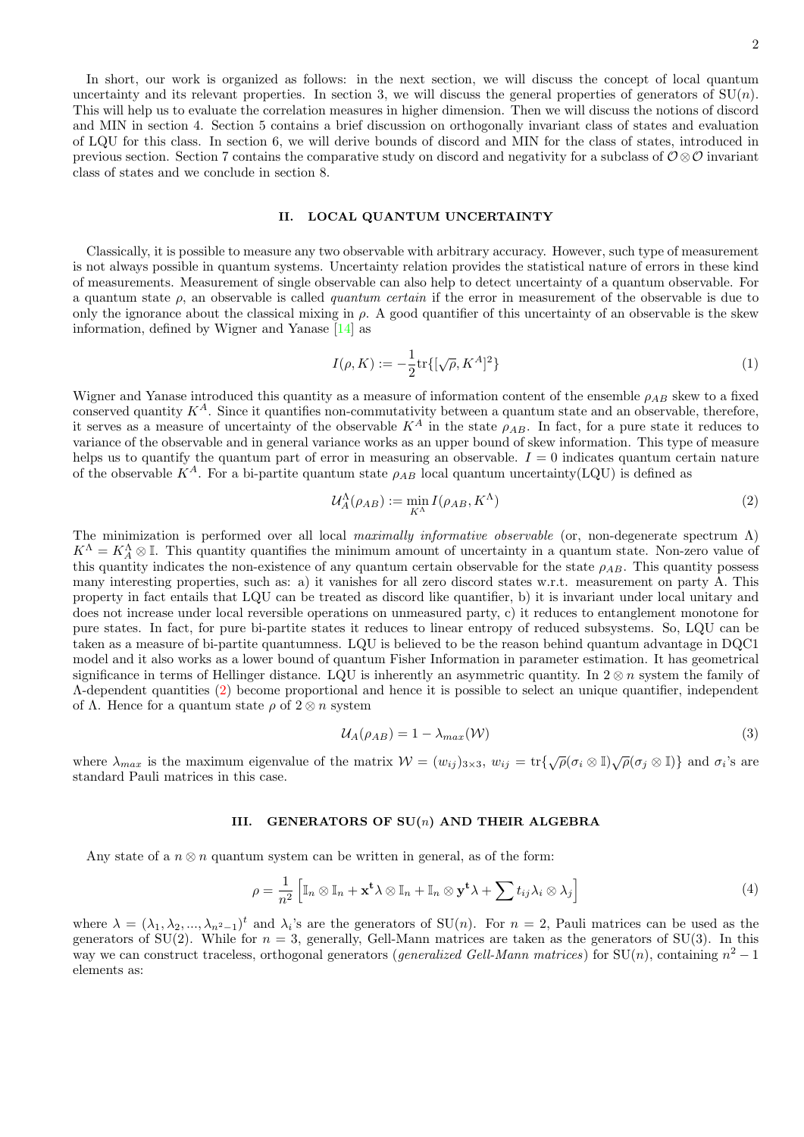In short, our work is organized as follows: in the next section, we will discuss the concept of local quantum uncertainty and its relevant properties. In section 3, we will discuss the general properties of generators of  $SU(n)$ . This will help us to evaluate the correlation measures in higher dimension. Then we will discuss the notions of discord and MIN in section 4. Section 5 contains a brief discussion on orthogonally invariant class of states and evaluation of LQU for this class. In section 6, we will derive bounds of discord and MIN for the class of states, introduced in previous section. Section 7 contains the comparative study on discord and negativity for a subclass of  $\mathcal{O}\otimes\mathcal{O}$  invariant class of states and we conclude in section 8.

# II. LOCAL QUANTUM UNCERTAINTY

Classically, it is possible to measure any two observable with arbitrary accuracy. However, such type of measurement is not always possible in quantum systems. Uncertainty relation provides the statistical nature of errors in these kind of measurements. Measurement of single observable can also help to detect uncertainty of a quantum observable. For a quantum state  $\rho$ , an observable is called quantum certain if the error in measurement of the observable is due to only the ignorance about the classical mixing in  $\rho$ . A good quantifier of this uncertainty of an observable is the skew information, defined by Wigner and Yanase [\[14\]](#page-12-11) as

$$
I(\rho, K) := -\frac{1}{2} \text{tr}\{ [\sqrt{\rho}, K^A]^2 \} \tag{1}
$$

Wigner and Yanase introduced this quantity as a measure of information content of the ensemble  $\rho_{AB}$  skew to a fixed conserved quantity  $K^A$ . Since it quantifies non-commutativity between a quantum state and an observable, therefore, it serves as a measure of uncertainty of the observable  $K^A$  in the state  $\rho_{AB}$ . In fact, for a pure state it reduces to variance of the observable and in general variance works as an upper bound of skew information. This type of measure helps us to quantify the quantum part of error in measuring an observable.  $I = 0$  indicates quantum certain nature of the observable  $K^A$ . For a bi-partite quantum state  $\rho_{AB}$  local quantum uncertainty(LQU) is defined as

<span id="page-1-0"></span>
$$
\mathcal{U}_A^{\Lambda}(\rho_{AB}) := \min_{K^{\Lambda}} I(\rho_{AB}, K^{\Lambda}) \tag{2}
$$

The minimization is performed over all local maximally informative observable (or, non-degenerate spectrum  $\Lambda$ )  $K^{\Lambda} = K_A^{\Lambda} \otimes \mathbb{I}$ . This quantity quantifies the minimum amount of uncertainty in a quantum state. Non-zero value of this quantity indicates the non-existence of any quantum certain observable for the state  $\rho_{AB}$ . This quantity possess many interesting properties, such as: a) it vanishes for all zero discord states w.r.t. measurement on party A. This property in fact entails that LQU can be treated as discord like quantifier, b) it is invariant under local unitary and does not increase under local reversible operations on unmeasured party, c) it reduces to entanglement monotone for pure states. In fact, for pure bi-partite states it reduces to linear entropy of reduced subsystems. So, LQU can be taken as a measure of bi-partite quantumness. LQU is believed to be the reason behind quantum advantage in DQC1 model and it also works as a lower bound of quantum Fisher Information in parameter estimation. It has geometrical significance in terms of Hellinger distance. LQU is inherently an asymmetric quantity. In  $2 \otimes n$  system the family of Λ-dependent quantities [\(2\)](#page-1-0) become proportional and hence it is possible to select an unique quantifier, independent of  $\Lambda$ . Hence for a quantum state  $\rho$  of  $2 \otimes n$  system

$$
U_A(\rho_{AB}) = 1 - \lambda_{max}(\mathcal{W})
$$
\n(3)

where  $\lambda_{max}$  is the maximum eigenvalue of the matrix  $W = (w_{ij})_{3 \times 3}$ ,  $w_{ij} = \text{tr}\{\sqrt{\rho}(\sigma_i \otimes \mathbb{I})\sqrt{\rho}(\sigma_j \otimes \mathbb{I})\}$  and  $\sigma_i$ 's are standard Pauli matrices in this case.

### III. GENERATORS OF  $SU(n)$  AND THEIR ALGEBRA

<span id="page-1-1"></span>Any state of a  $n \otimes n$  quantum system can be written in general, as of the form:

$$
\rho = \frac{1}{n^2} \left[ \mathbb{I}_n \otimes \mathbb{I}_n + \mathbf{x}^t \lambda \otimes \mathbb{I}_n + \mathbb{I}_n \otimes \mathbf{y}^t \lambda + \sum t_{ij} \lambda_i \otimes \lambda_j \right]
$$
(4)

where  $\lambda = (\lambda_1, \lambda_2, ..., \lambda_{n^2-1})^t$  and  $\lambda_i$ 's are the generators of SU(n). For  $n = 2$ , Pauli matrices can be used as the generators of SU(2). While for  $n = 3$ , generally, Gell-Mann matrices are taken as the generators of SU(3). In this way we can construct traceless, orthogonal generators (*generalized Gell-Mann matrices*) for  $SU(n)$ , containing  $n^2 - 1$ elements as: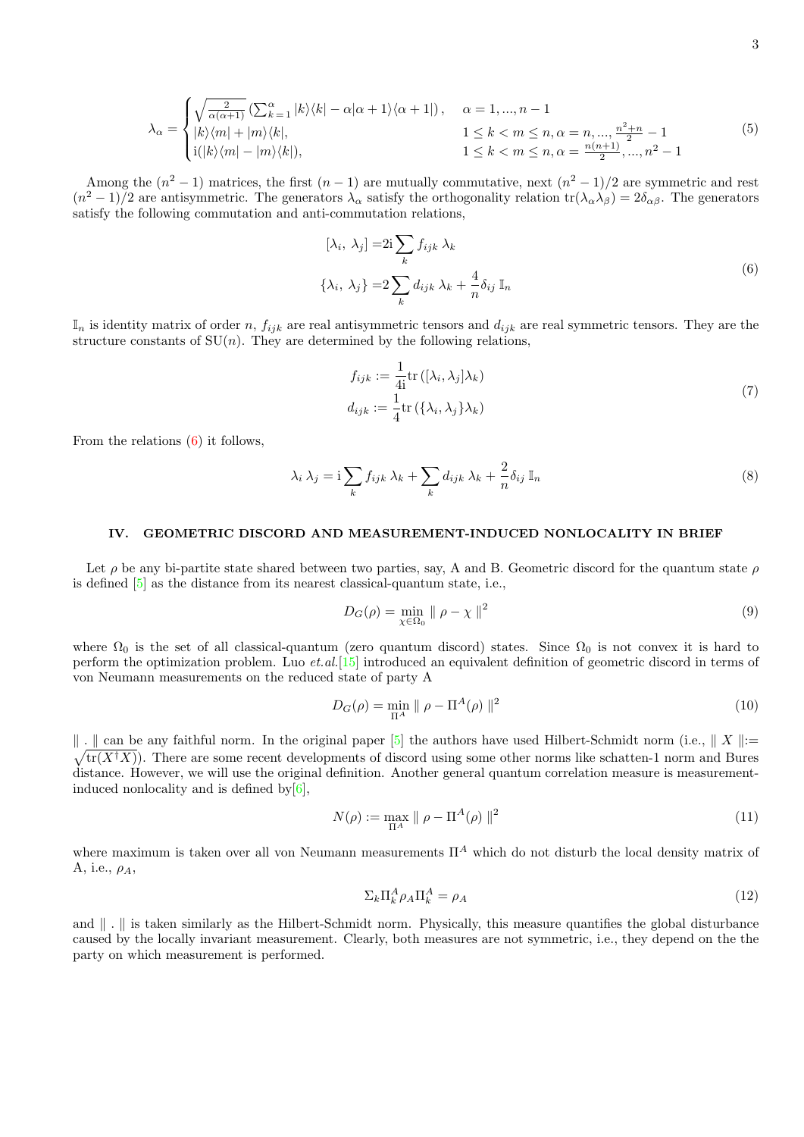<span id="page-2-5"></span>
$$
\lambda_{\alpha} = \begin{cases}\n\sqrt{\frac{2}{\alpha(\alpha+1)}} \left( \sum_{k=1}^{\alpha} |k\rangle\langle k| - \alpha|\alpha+1\rangle\langle \alpha+1| \right), & \alpha = 1, ..., n-1 \\
|k\rangle\langle m| + |m\rangle\langle k|, & 1 \le k < m \le n, \alpha = n, ..., \frac{n^2+n}{2} - 1 \\
\text{i}(|k\rangle\langle m| - |m\rangle\langle k|), & 1 \le k < m \le n, \alpha = \frac{n(n+1)}{2}, ..., n^2 - 1\n\end{cases} (5)
$$

Among the  $(n^2-1)$  matrices, the first  $(n-1)$  are mutually commutative, next  $(n^2-1)/2$  are symmetric and rest  $(n^2-1)/2$  are antisymmetric. The generators  $\lambda_{\alpha}$  satisfy the orthogonality relation  $tr(\lambda_{\alpha}\lambda_{\beta})=2\delta_{\alpha\beta}$ . The generators satisfy the following commutation and anti-commutation relations,

$$
[\lambda_i, \lambda_j] = 2i \sum_k f_{ijk} \lambda_k
$$
  

$$
\{\lambda_i, \lambda_j\} = 2 \sum_k d_{ijk} \lambda_k + \frac{4}{n} \delta_{ij} \mathbb{I}_n
$$
 (6)

<span id="page-2-0"></span> $\mathbb{I}_n$  is identity matrix of order n,  $f_{ijk}$  are real antisymmetric tensors and  $d_{ijk}$  are real symmetric tensors. They are the structure constants of  $SU(n)$ . They are determined by the following relations,

$$
f_{ijk} := \frac{1}{4i} \text{tr} \left( [\lambda_i, \lambda_j] \lambda_k \right)
$$
  

$$
d_{ijk} := \frac{1}{4} \text{tr} \left( {\lambda_i, \lambda_j} \lambda_k \right)
$$
 (7)

From the relations  $(6)$  it follows,

<span id="page-2-4"></span>
$$
\lambda_i \lambda_j = i \sum_k f_{ijk} \lambda_k + \sum_k d_{ijk} \lambda_k + \frac{2}{n} \delta_{ij} \mathbb{I}_n \tag{8}
$$

### IV. GEOMETRIC DISCORD AND MEASUREMENT-INDUCED NONLOCALITY IN BRIEF

Let  $\rho$  be any bi-partite state shared between two parties, say, A and B. Geometric discord for the quantum state  $\rho$ is defined [\[5\]](#page-12-12) as the distance from its nearest classical-quantum state, i.e.,

$$
D_G(\rho) = \min_{\chi \in \Omega_0} \| \rho - \chi \|^2 \tag{9}
$$

where  $\Omega_0$  is the set of all classical-quantum (zero quantum discord) states. Since  $\Omega_0$  is not convex it is hard to perform the optimization problem. Luo et.al.[\[15\]](#page-12-13) introduced an equivalent definition of geometric discord in terms of von Neumann measurements on the reduced state of party A

<span id="page-2-1"></span>
$$
D_G(\rho) = \min_{\Pi^A} \parallel \rho - \Pi^A(\rho) \parallel^2
$$
\n(10)

|| . || can be any faithful norm. In the original paper [\[5\]](#page-12-12) the authors have used Hilbert-Schmidt norm (i.e., || X ||:=  $\sqrt{\text{tr}(X^{\dagger}X)}$ ). There are some recent developments of discord using some other norms like schatte  $\sqrt{\text{tr}(X^{\dagger}X)}$ . There are some recent developments of discord using some other norms like schatten-1 norm and Bures distance. However, we will use the original definition. Another general quantum correlation measure is measurementinduced nonlocality and is defined by  $[6]$ ,

<span id="page-2-2"></span>
$$
N(\rho) := \max_{\Pi^A} \parallel \rho - \Pi^A(\rho) \parallel^2 \tag{11}
$$

where maximum is taken over all von Neumann measurements  $\Pi^A$  which do not disturb the local density matrix of A, i.e.,  $\rho_A$ ,

<span id="page-2-3"></span>
$$
\Sigma_k \Pi_k^A \rho_A \Pi_k^A = \rho_A \tag{12}
$$

and  $\| \cdot \|$  is taken similarly as the Hilbert-Schmidt norm. Physically, this measure quantifies the global disturbance caused by the locally invariant measurement. Clearly, both measures are not symmetric, i.e., they depend on the the party on which measurement is performed.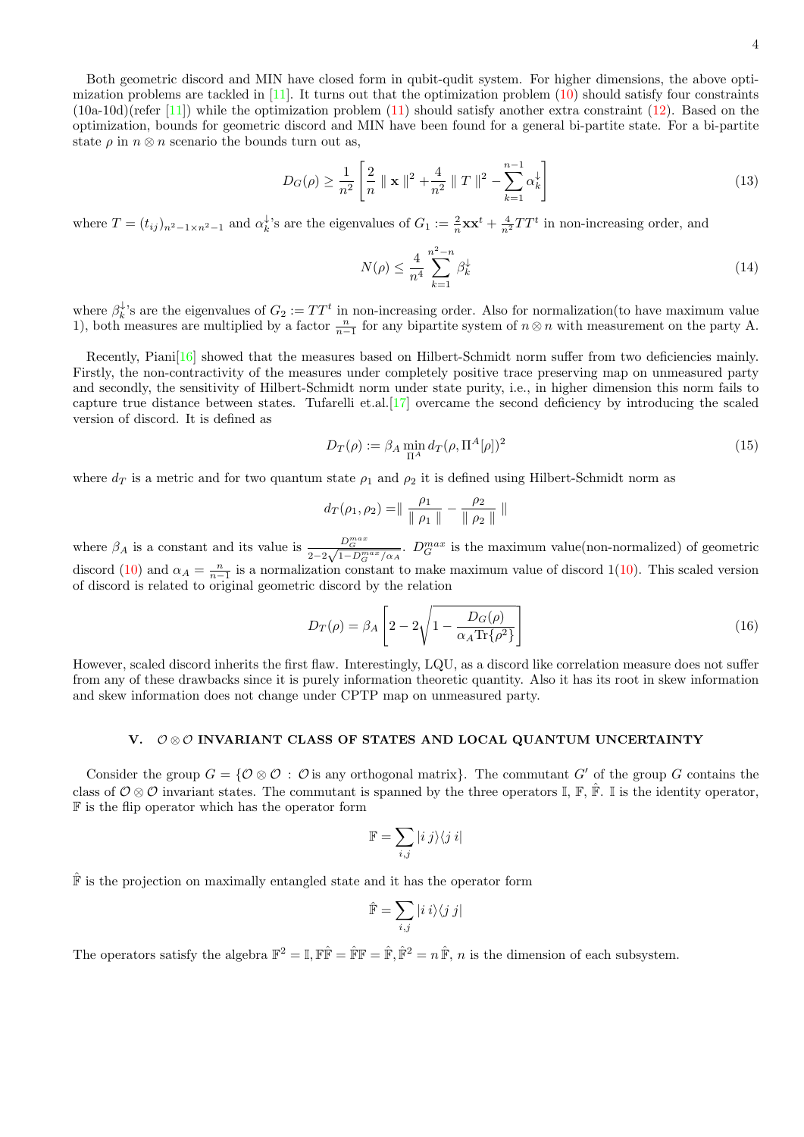Both geometric discord and MIN have closed form in qubit-qudit system. For higher dimensions, the above optimization problems are tackled in  $[11]$ . It turns out that the optimization problem  $(10)$  should satisfy four constraints  $(10a-10d)$ (refer [\[11\]](#page-12-7)) while the optimization problem [\(11\)](#page-2-2) should satisfy another extra constraint [\(12\)](#page-2-3). Based on the optimization, bounds for geometric discord and MIN have been found for a general bi-partite state. For a bi-partite state  $\rho$  in  $n \otimes n$  scenario the bounds turn out as,

<span id="page-3-0"></span>
$$
D_G(\rho) \ge \frac{1}{n^2} \left[ \frac{2}{n} \parallel \mathbf{x} \parallel^2 + \frac{4}{n^2} \parallel T \parallel^2 - \sum_{k=1}^{n-1} \alpha_k^{\downarrow} \right]
$$
(13)

where  $T = (t_{ij})_{n^2-1 \times n^2-1}$  and  $\alpha_k^{\downarrow}$ 's are the eigenvalues of  $G_1 := \frac{2}{n} \mathbf{x} \mathbf{x}^t + \frac{4}{n^2} T T^t$  in non-increasing order, and

<span id="page-3-1"></span>
$$
N(\rho) \le \frac{4}{n^4} \sum_{k=1}^{n^2 - n} \beta_k^{\downarrow} \tag{14}
$$

where  $\beta_k^{\downarrow}$ 's are the eigenvalues of  $G_2 := TT^t$  in non-increasing order. Also for normalization(to have maximum value 1), both measures are multiplied by a factor  $\frac{n}{n-1}$  for any bipartite system of  $n \otimes n$  with measurement on the party A.

Recently, Piani<sup>[\[16\]](#page-12-14)</sup> showed that the measures based on Hilbert-Schmidt norm suffer from two deficiencies mainly. Firstly, the non-contractivity of the measures under completely positive trace preserving map on unmeasured party and secondly, the sensitivity of Hilbert-Schmidt norm under state purity, i.e., in higher dimension this norm fails to capture true distance between states. Tufarelli et.al.[\[17\]](#page-12-15) overcame the second deficiency by introducing the scaled version of discord. It is defined as

$$
D_T(\rho) := \beta_A \min_{\Pi^A} d_T(\rho, \Pi^A[\rho])^2
$$
\n(15)

where  $d_T$  is a metric and for two quantum state  $\rho_1$  and  $\rho_2$  it is defined using Hilbert-Schmidt norm as

$$
d_T(\rho_1, \rho_2) = ||\frac{\rho_1}{\|\rho_1\|} - \frac{\rho_2}{\|\rho_2\|}||
$$

where  $\beta_A$  is a constant and its value is  $\frac{D_G^{max}}{2-2\sqrt{1-D_G^{max}/\alpha_A}}$ .  $D_G^{max}$  is the maximum value(non-normalized) of geometric discord [\(10\)](#page-2-1) and  $\alpha_A = \frac{n}{n-1}$  is a normalization constant to make maximum value of discord 1(10). This scaled version of discord is related to original geometric discord by the relation

$$
D_T(\rho) = \beta_A \left[ 2 - 2\sqrt{1 - \frac{D_G(\rho)}{\alpha_A \text{Tr}\{\rho^2\}}} \right]
$$
\n(16)

However, scaled discord inherits the first flaw. Interestingly, LQU, as a discord like correlation measure does not suffer from any of these drawbacks since it is purely information theoretic quantity. Also it has its root in skew information and skew information does not change under CPTP map on unmeasured party.

### V. 0⊗0 INVARIANT CLASS OF STATES AND LOCAL QUANTUM UNCERTAINTY

Consider the group  $G = \{ \mathcal{O} \otimes \mathcal{O} : \mathcal{O} \text{ is any orthogonal matrix} \}.$  The commutant G' of the group G contains the class of  $\mathcal{O}\otimes\mathcal{O}$  invariant states. The commutant is spanned by the three operators I, F,  $\hat{F}$ , I is the identity operator, F is the flip operator which has the operator form

$$
\mathbb{F} = \sum_{i,j} |i\> j\rangle\langle j\> i|
$$

 $\hat{\mathbb{F}}$  is the projection on maximally entangled state and it has the operator form

$$
\hat{\mathbb{F}} = \sum_{i,j} |i\> i\rangle\langle j\> j|
$$

The operators satisfy the algebra  $\mathbb{F}^2 = \mathbb{I}, \mathbb{F}\hat{\mathbb{F}} = \hat{\mathbb{F}}\mathbb{F} = \hat{\mathbb{F}}, \hat{\mathbb{F}}^2 = n\hat{\mathbb{F}}, n$  is the dimension of each subsystem.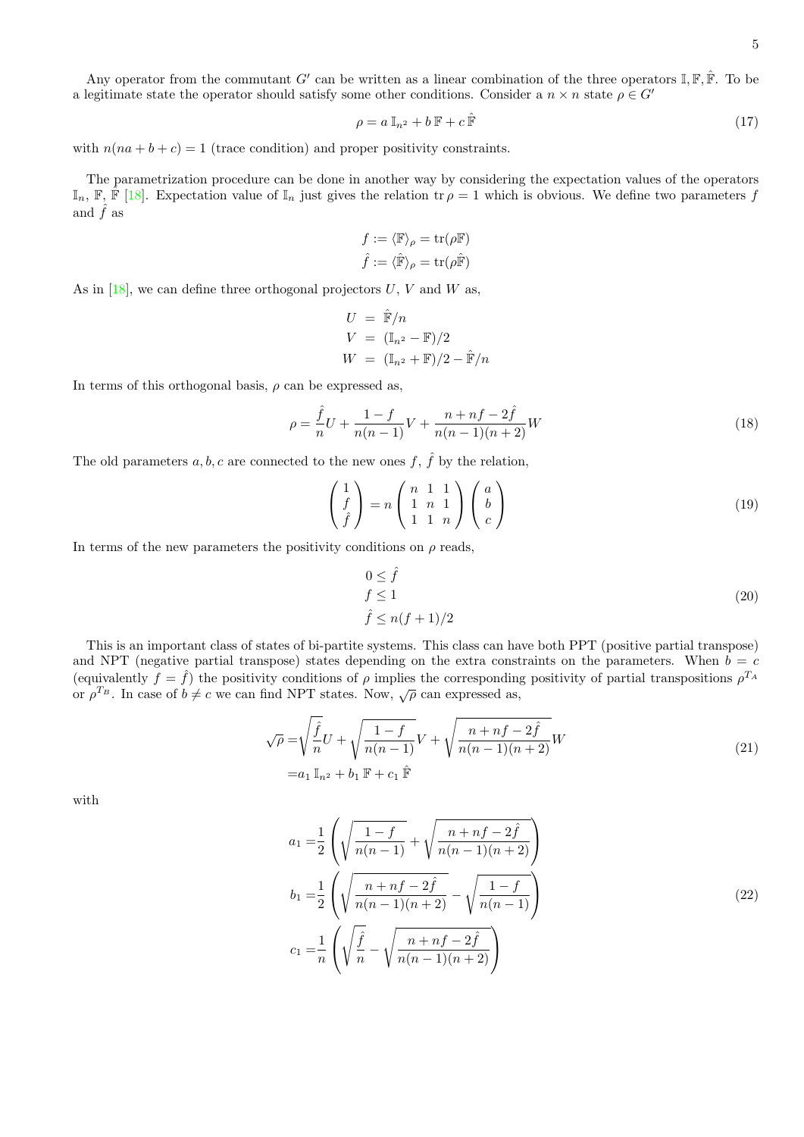Any operator from the commutant G' can be written as a linear combination of the three operators  $\mathbb{I}, \mathbb{F}, \hat{\mathbb{F}}$ . To be a legitimate state the operator should satisfy some other conditions. Consider a  $n \times n$  state  $\rho \in G'$ 

<span id="page-4-1"></span>
$$
\rho = a \, \mathbb{I}_{n^2} + b \, \mathbb{F} + c \, \hat{\mathbb{F}} \tag{17}
$$

with  $n(na + b + c) = 1$  (trace condition) and proper positivity constraints.

The parametrization procedure can be done in another way by considering the expectation values of the operators  $\mathbb{I}_n$ ,  $\mathbb{F}, \hat{\mathbb{F}}$  [\[18\]](#page-12-16). Expectation value of  $\mathbb{I}_n$  just gives the relation tr  $\rho = 1$  which is obvious. We define two parameters f and  $\hat{f}$  as

$$
f := \langle \mathbb{F} \rangle_{\rho} = \text{tr}(\rho \mathbb{F})
$$

$$
\hat{f} := \langle \hat{\mathbb{F}} \rangle_{\rho} = \text{tr}(\rho \hat{\mathbb{F}})
$$

As in  $[18]$ , we can define three orthogonal projectors U, V and W as,

$$
U = \hat{\mathbb{F}}/n
$$
  
\n
$$
V = (\mathbb{I}_{n^2} - \mathbb{F})/2
$$
  
\n
$$
W = (\mathbb{I}_{n^2} + \mathbb{F})/2 - \hat{\mathbb{F}}/n
$$

In terms of this orthogonal basis,  $\rho$  can be expressed as,

$$
\rho = \frac{\hat{f}}{n}U + \frac{1-f}{n(n-1)}V + \frac{n+nf-2\hat{f}}{n(n-1)(n+2)}W\tag{18}
$$

The old parameters  $a, b, c$  are connected to the new ones f,  $\hat{f}$  by the relation,

<span id="page-4-2"></span>
$$
\begin{pmatrix} 1 \\ f \\ \hat{f} \end{pmatrix} = n \begin{pmatrix} n & 1 & 1 \\ 1 & n & 1 \\ 1 & 1 & n \end{pmatrix} \begin{pmatrix} a \\ b \\ c \end{pmatrix}
$$
 (19)

In terms of the new parameters the positivity conditions on  $\rho$  reads,

<span id="page-4-0"></span>
$$
0 \le \hat{f}
$$
  
\n
$$
f \le 1
$$
  
\n
$$
\hat{f} \le n(f+1)/2
$$
\n(20)

This is an important class of states of bi-partite systems. This class can have both PPT (positive partial transpose) and NPT (negative partial transpose) states depending on the extra constraints on the parameters. When  $b = c$ (equivalently  $f = \hat{f}$ ) the positivity conditions of  $\rho$  implies the corresponding positivity of partial transpositions  $\rho^{T_A}$ or  $\rho^{T_B}$ . In case of  $b \neq c$  we can find NPT states. Now,  $\sqrt{\rho}$  can expressed as,

$$
\sqrt{\rho} = \sqrt{\frac{\hat{f}}{n}} U + \sqrt{\frac{1 - f}{n(n - 1)}} V + \sqrt{\frac{n + nf - 2\hat{f}}{n(n - 1)(n + 2)}} W
$$
  
=  $a_1 \mathbb{I}_{n^2} + b_1 \mathbb{F} + c_1 \hat{\mathbb{F}}$  (21)

<span id="page-4-3"></span>with

$$
a_1 = \frac{1}{2} \left( \sqrt{\frac{1-f}{n(n-1)}} + \sqrt{\frac{n+nf-2f}{n(n-1)(n+2)}} \right)
$$
  
\n
$$
b_1 = \frac{1}{2} \left( \sqrt{\frac{n+nf-2f}{n(n-1)(n+2)}} - \sqrt{\frac{1-f}{n(n-1)}} \right)
$$
  
\n
$$
c_1 = \frac{1}{n} \left( \sqrt{\frac{\hat{f}}{n}} - \sqrt{\frac{n+nf-2\hat{f}}{n(n-1)(n+2)}} \right)
$$
\n(22)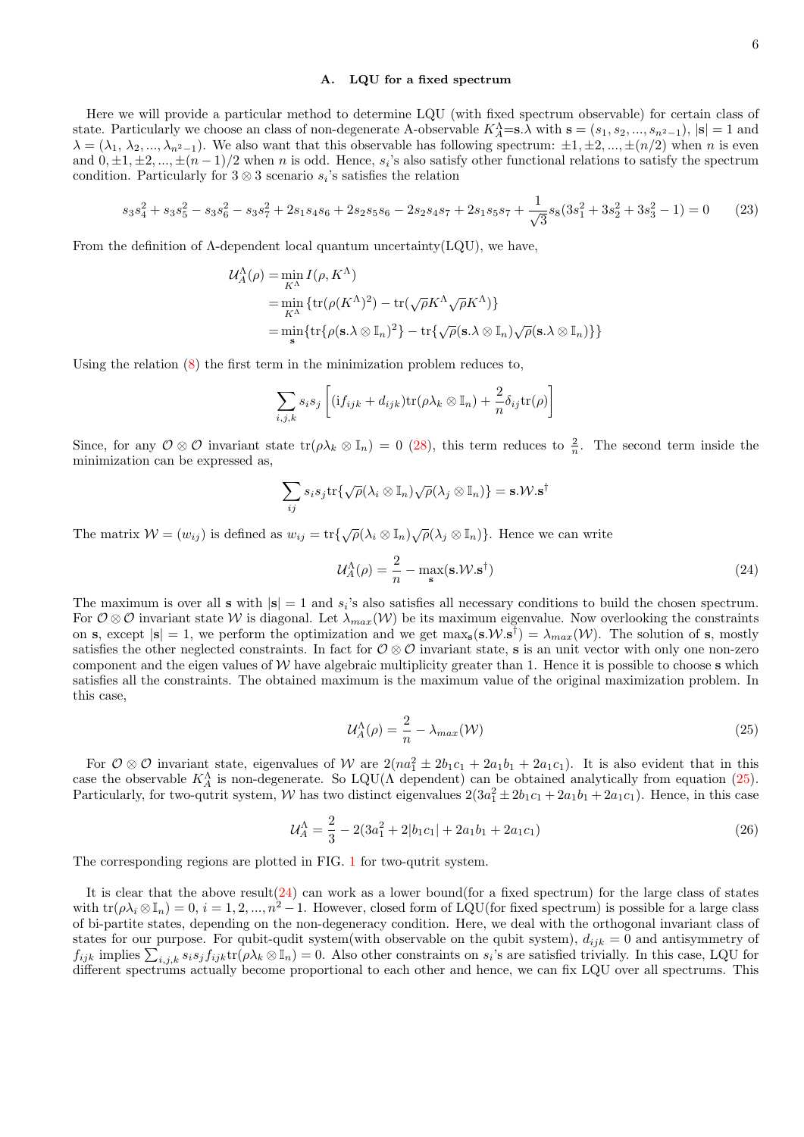### A. LQU for a fixed spectrum

Here we will provide a particular method to determine LQU (with fixed spectrum observable) for certain class of state. Particularly we choose an class of non-degenerate A-observable  $K_A^{\Lambda} = s.\lambda$  with  $s = (s_1, s_2, ..., s_{n^2-1}), |s| = 1$  and  $\lambda = (\lambda_1, \lambda_2, ..., \lambda_{n^2-1})$ . We also want that this observable has following spectrum:  $\pm 1, \pm 2, ..., \pm (n/2)$  when n is even and  $0, \pm 1, \pm 2, ..., \pm (n-1)/2$  when n is odd. Hence, s<sub>i</sub>'s also satisfy other functional relations to satisfy the spectrum condition. Particularly for  $3 \otimes 3$  scenario  $s_i$ 's satisfies the relation

$$
s_3s_4^2 + s_3s_5^2 - s_3s_6^2 - s_3s_7^2 + 2s_1s_4s_6 + 2s_2s_5s_6 - 2s_2s_4s_7 + 2s_1s_5s_7 + \frac{1}{\sqrt{3}}s_8(3s_1^2 + 3s_2^2 + 3s_3^2 - 1) = 0
$$
 (23)

From the definition of  $\Lambda$ -dependent local quantum uncertainty(LQU), we have,

$$
\mathcal{U}_{A}^{\Lambda}(\rho) = \min_{K^{\Lambda}} I(\rho, K^{\Lambda})
$$
  
= min\_{K^{\Lambda}} \{tr(\rho(K^{\Lambda})^{2}) - tr(\sqrt{\rho}K^{\Lambda}\sqrt{\rho}K^{\Lambda})\}  
= min\_{\mathbf{s}} \{tr\{\rho(\mathbf{s}.\lambda \otimes \mathbb{I}\_{n})^{2}\} - tr\{\sqrt{\rho}(\mathbf{s}.\lambda \otimes \mathbb{I}\_{n})\sqrt{\rho}(\mathbf{s}.\lambda \otimes \mathbb{I}\_{n})\}\}

Using the relation [\(8\)](#page-2-4) the first term in the minimization problem reduces to,

$$
\sum_{i,j,k} s_i s_j \left[ (i f_{ijk} + d_{ijk}) \text{tr}(\rho \lambda_k \otimes \mathbb{I}_n) + \frac{2}{n} \delta_{ij} \text{tr}(\rho) \right]
$$

Since, for any  $\mathcal{O}\otimes\mathcal{O}$  invariant state  $\text{tr}(\rho\lambda_k\otimes\mathbb{I}_n)=0$  [\(28\)](#page-7-0), this term reduces to  $\frac{2}{n}$ . The second term inside the minimization can be expressed as,

$$
\sum_{ij} s_i s_j \text{tr}\{\sqrt{\rho}(\lambda_i \otimes \mathbb{I}_n)\sqrt{\rho}(\lambda_j \otimes \mathbb{I}_n)\} = \textbf{s}. \mathcal{W}.\textbf{s}^{\dagger}
$$

The matrix  $W = (w_{ij})$  is defined as  $w_{ij} = \text{tr}\{\sqrt{\rho}(\lambda_i \otimes \mathbb{I}_n), \sqrt{\rho}(\lambda_j \otimes \mathbb{I}_n)\}\)$ . Hence we can write

<span id="page-5-1"></span>
$$
\mathcal{U}_A^{\Lambda}(\rho) = \frac{2}{n} - \max_{\mathbf{s}}(\mathbf{s}.\mathcal{W}.\mathbf{s}^\dagger) \tag{24}
$$

The maximum is over all **s** with  $|\mathbf{s}| = 1$  and  $s_i$ 's also satisfies all necessary conditions to build the chosen spectrum. For  $\mathcal{O}\otimes\mathcal{O}$  invariant state W is diagonal. Let  $\lambda_{max}(\mathcal{W})$  be its maximum eigenvalue. Now overlooking the constraints on s, except  $|\mathbf{s}| = 1$ , we perform the optimization and we get  $\max_{\mathbf{s}} (\mathbf{s}.\mathcal{W}.\mathbf{s}^{\dagger}) = \lambda_{max}(\mathcal{W})$ . The solution of s, mostly satisfies the other neglected constraints. In fact for  $\mathcal{O}\otimes\mathcal{O}$  invariant state, s is an unit vector with only one non-zero component and the eigen values of  $W$  have algebraic multiplicity greater than 1. Hence it is possible to choose s which satisfies all the constraints. The obtained maximum is the maximum value of the original maximization problem. In this case,

<span id="page-5-0"></span>
$$
\mathcal{U}_A^{\Lambda}(\rho) = \frac{2}{n} - \lambda_{max}(\mathcal{W})
$$
\n(25)

For  $\mathcal{O}\otimes\mathcal{O}$  invariant state, eigenvalues of W are  $2(na_1^2 \pm 2b_1c_1 + 2a_1b_1 + 2a_1c_1)$ . It is also evident that in this case the observable  $K_A^{\Lambda}$  is non-degenerate. So LQU( $\Lambda$  dependent) can be obtained analytically from equation [\(25\)](#page-5-0). Particularly, for two-qutrit system, W has two distinct eigenvalues  $2(3a_1^2 \pm 2b_1c_1 + 2a_1b_1 + 2a_1c_1)$ . Hence, in this case

$$
\mathcal{U}_A^{\Lambda} = \frac{2}{3} - 2(3a_1^2 + 2|b_1c_1| + 2a_1b_1 + 2a_1c_1)
$$
\n(26)

The corresponding regions are plotted in FIG. [1](#page-6-0) for two-qutrit system.

It is clear that the above result  $(24)$  can work as a lower bound (for a fixed spectrum) for the large class of states with  $\text{tr}(\rho \lambda_i \otimes \mathbb{I}_n) = 0, i = 1, 2, ..., n^2 - 1$ . However, closed form of LQU(for fixed spectrum) is possible for a large class of bi-partite states, depending on the non-degeneracy condition. Here, we deal with the orthogonal invariant class of states for our purpose. For qubit-qudit system(with observable on the qubit system),  $d_{ijk} = 0$  and antisymmetry of  $f_{ijk}$  implies  $\sum_{i,j,k} s_i s_j f_{ijk} \text{tr}(\rho \lambda_k \otimes \mathbb{I}_n) = 0$ . Also other constraints on  $s_i$ 's are satisfied trivially. In this case, LQU for different spectrums actually become proportional to each other and hence, we can fix LQU over all spectrums. This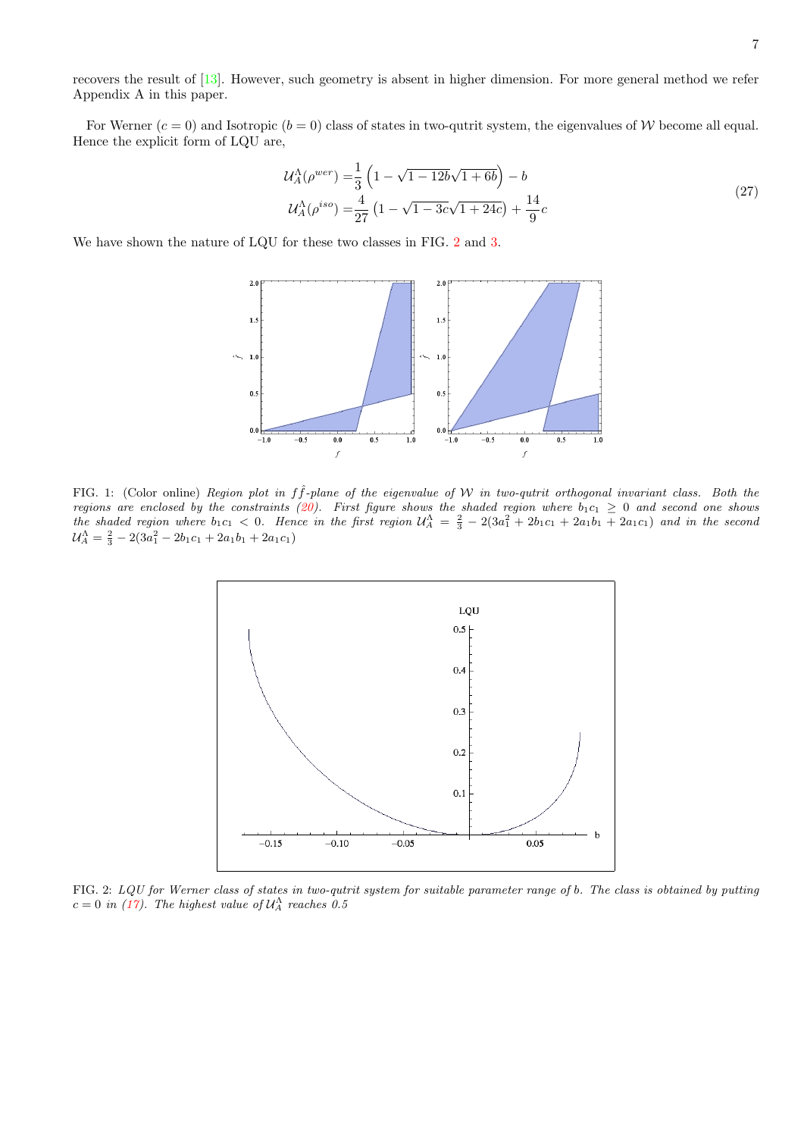recovers the result of [\[13\]](#page-12-10). However, such geometry is absent in higher dimension. For more general method we refer Appendix A in this paper.

For Werner  $(c = 0)$  and Isotropic  $(b = 0)$  class of states in two-qutrit system, the eigenvalues of W become all equal. Hence the explicit form of LQU are,

$$
\mathcal{U}_A^{\Lambda}(\rho^{wer}) = \frac{1}{3} \left( 1 - \sqrt{1 - 12b\sqrt{1 + 6b}} \right) - b
$$
  

$$
\mathcal{U}_A^{\Lambda}(\rho^{iso}) = \frac{4}{27} \left( 1 - \sqrt{1 - 3c\sqrt{1 + 24c}} \right) + \frac{14}{9}c
$$
 (27)

We have shown the nature of LQU for these two classes in FIG. [2](#page-6-1) and [3.](#page-7-1)



<span id="page-6-0"></span>FIG. 1: (Color online) Region plot in  $f\hat{f}$ -plane of the eigenvalue of W in two-qutrit orthogonal invariant class. Both the regions are enclosed by the constraints [\(20\)](#page-4-0). First figure shows the shaded region where  $b_1c_1 \geq 0$  and second one shows the shaded region where  $b_1c_1 < 0$ . Hence in the first region  $\mathcal{U}_A^{\Lambda} = \frac{2}{3} - 2(3a_1^2 + 2b_1c_1 + 2a_1b_1 + 2a_1c_1)$  and in the second  $\mathcal{U}_A^{\Lambda} = \frac{2}{3} - 2(3a_1^2 - 2b_1c_1 + 2a_1b_1 + 2a_1c_1)$ 



<span id="page-6-1"></span>FIG. 2: LQU for Werner class of states in two-qutrit system for suitable parameter range of b. The class is obtained by putting  $c = 0$  in [\(17\)](#page-4-1). The highest value of  $\mathcal{U}_{A}^{\Lambda}$  reaches 0.5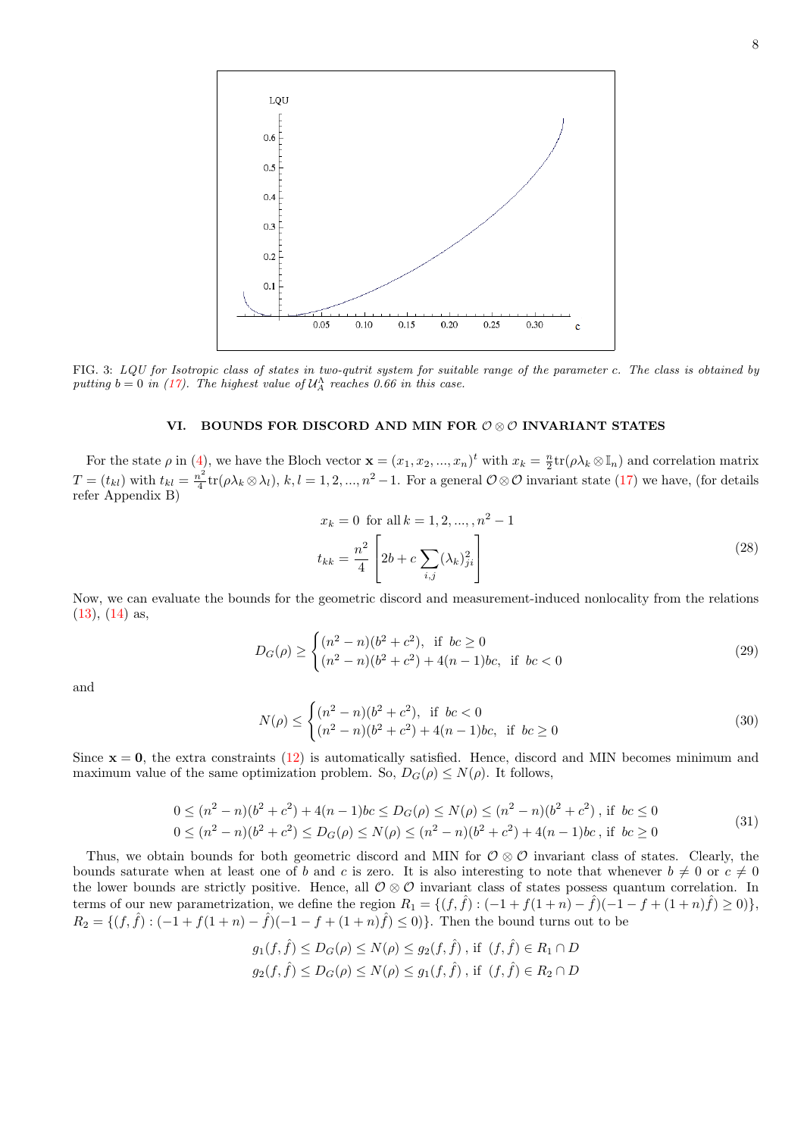

<span id="page-7-1"></span>FIG. 3: LQU for Isotropic class of states in two-qutrit system for suitable range of the parameter c. The class is obtained by putting  $b = 0$  in [\(17\)](#page-4-1). The highest value of  $\mathcal{U}_{A}^{\Lambda}$  reaches 0.66 in this case.

# VI. BOUNDS FOR DISCORD AND MIN FOR  $\mathcal{O}\otimes\mathcal{O}$  INVARIANT STATES

For the state  $\rho$  in [\(4\)](#page-1-1), we have the Bloch vector  $\mathbf{x} = (x_1, x_2, ..., x_n)^t$  with  $x_k = \frac{n}{2} \text{tr}(\rho \lambda_k \otimes \mathbb{I}_n)$  and correlation matrix  $T=(t_{kl})$  with  $t_{kl}=\frac{n^2}{4}$  $\frac{n^2}{4}$ tr( $\rho \lambda_k \otimes \lambda_l$ ),  $k, l = 1, 2, ..., n^2 - 1$ . For a general  $\mathcal{O} \otimes \mathcal{O}$  invariant state [\(17\)](#page-4-1) we have, (for details refer Appendix B)

$$
x_k = 0 \text{ for all } k = 1, 2, ..., n^2 - 1
$$
  

$$
t_{kk} = \frac{n^2}{4} \left[ 2b + c \sum_{i,j} (\lambda_k)_{ji}^2 \right]
$$
 (28)

<span id="page-7-0"></span>Now, we can evaluate the bounds for the geometric discord and measurement-induced nonlocality from the relations [\(13\)](#page-3-0), [\(14\)](#page-3-1) as,

$$
D_G(\rho) \ge \begin{cases} (n^2 - n)(b^2 + c^2), & \text{if } bc \ge 0\\ (n^2 - n)(b^2 + c^2) + 4(n - 1)bc, & \text{if } bc < 0 \end{cases}
$$
 (29)

and

$$
N(\rho) \le \begin{cases} (n^2 - n)(b^2 + c^2), & \text{if } bc < 0\\ (n^2 - n)(b^2 + c^2) + 4(n - 1)bc, & \text{if } bc \ge 0 \end{cases}
$$
 (30)

Since  $x = 0$ , the extra constraints [\(12\)](#page-2-3) is automatically satisfied. Hence, discord and MIN becomes minimum and maximum value of the same optimization problem. So,  $D_G(\rho) \leq N(\rho)$ . It follows,

$$
0 \le (n^2 - n)(b^2 + c^2) + 4(n - 1)bc \le D_G(\rho) \le N(\rho) \le (n^2 - n)(b^2 + c^2), \text{ if } bc \le 0
$$
  
0 \le (n^2 - n)(b^2 + c^2) \le D\_G(\rho) \le N(\rho) \le (n^2 - n)(b^2 + c^2) + 4(n - 1)bc, \text{ if } bc \ge 0 (31)

Thus, we obtain bounds for both geometric discord and MIN for  $\mathcal{O}\otimes\mathcal{O}$  invariant class of states. Clearly, the bounds saturate when at least one of b and c is zero. It is also interesting to note that whenever  $b \neq 0$  or  $c \neq 0$ the lower bounds are strictly positive. Hence, all  $\mathcal{O} \otimes \mathcal{O}$  invariant class of states possess quantum correlation. In terms of our new parametrization, we define the region  $R_1 = \{(f, \hat{f}) : (-1 + f(1+n) - \hat{f})(-1 - f + (1+n)\hat{f}) \ge 0)\},$  $R_2 = \{(f, \hat{f}) : (-1 + f(1+n) - \hat{f})(-1 - f + (1+n)\hat{f}) \le 0\}.$  Then the bound turns out to be

$$
g_1(f, \hat{f}) \le D_G(\rho) \le N(\rho) \le g_2(f, \hat{f}), \text{ if } (f, \hat{f}) \in R_1 \cap D
$$
  

$$
g_2(f, \hat{f}) \le D_G(\rho) \le N(\rho) \le g_1(f, \hat{f}), \text{ if } (f, \hat{f}) \in R_2 \cap D
$$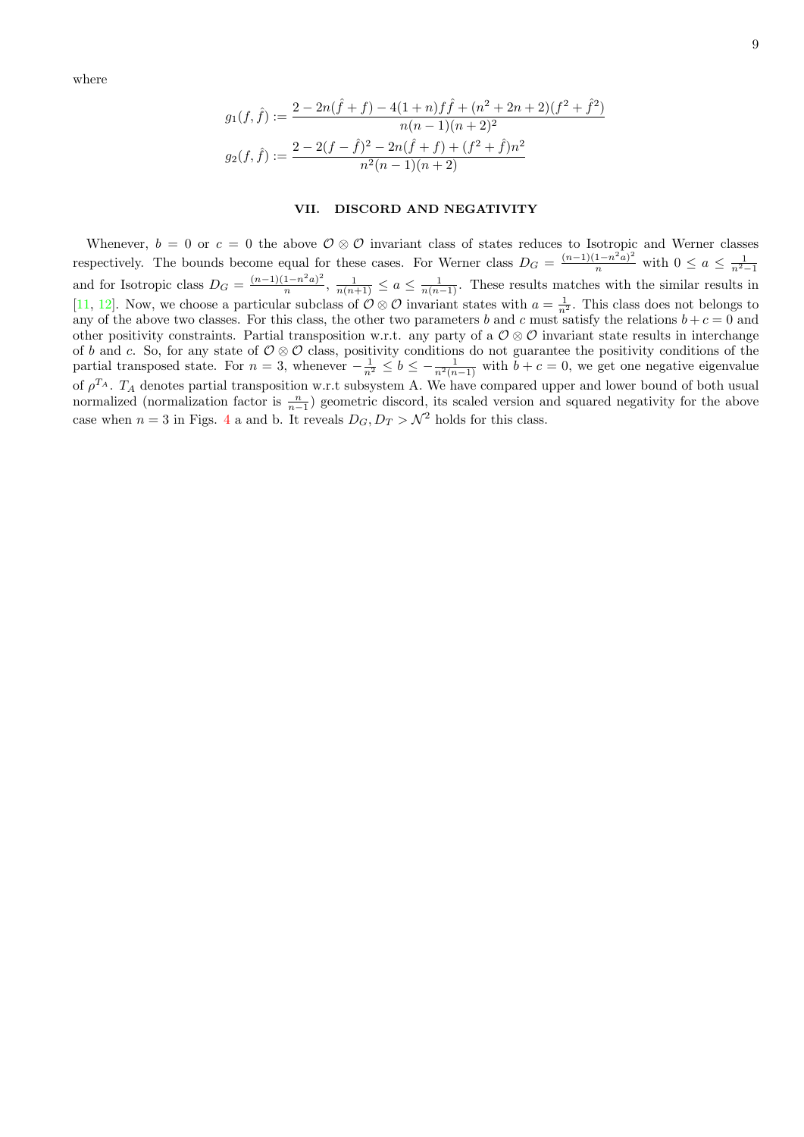where

$$
g_1(f, \hat{f}) := \frac{2 - 2n(\hat{f} + f) - 4(1 + n)f\hat{f} + (n^2 + 2n + 2)(f^2 + \hat{f}^2)}{n(n - 1)(n + 2)^2}
$$

$$
g_2(f, \hat{f}) := \frac{2 - 2(f - \hat{f})^2 - 2n(\hat{f} + f) + (f^2 + \hat{f})n^2}{n^2(n - 1)(n + 2)}
$$

### VII. DISCORD AND NEGATIVITY

Whenever,  $b = 0$  or  $c = 0$  the above  $\mathcal{O} \otimes \mathcal{O}$  invariant class of states reduces to Isotropic and Werner classes respectively. The bounds become equal for these cases. For Werner class  $D_G = \frac{(n-1)(1-n^2a)^2}{n}$  with  $0 \le a \le \frac{1}{n^2-1}$ and for Isotropic class  $D_G = \frac{(n-1)(1-n^2a)^2}{n}$  $\frac{(1-n^2a)^2}{n}, \frac{1}{n(n+1)} \le a \le \frac{1}{n(n-1)}$ . These results matches with the similar results in [\[11,](#page-12-7) [12\]](#page-12-8). Now, we choose a particular subclass of  $\mathcal{O}\otimes\mathcal{O}$  invariant states with  $a=\frac{1}{n^2}$ . This class does not belongs to any of the above two classes. For this class, the other two parameters b and c must satisfy the relations  $b + c = 0$  and other positivity constraints. Partial transposition w.r.t. any party of a  $\mathcal{O}\otimes\mathcal{O}$  invariant state results in interchange of b and c. So, for any state of  $\mathcal{O}\otimes\mathcal{O}$  class, positivity conditions do not guarantee the positivity conditions of the partial transposed state. For  $n = 3$ , whenever  $-\frac{1}{n^2} \le b \le -\frac{1}{n^2(n-1)}$  with  $b + c = 0$ , we get one negative eigenvalue of  $\rho^{T_A}$ .  $T_A$  denotes partial transposition w.r.t subsystem A. We have compared upper and lower bound of both usual normalized (normalization factor is  $\frac{n}{n-1}$ ) geometric discord, its scaled version and squared negativity for the above case when  $n = 3$  in Figs. [4](#page-9-0) a and b. It reveals  $D_G, D_T > N^2$  holds for this class.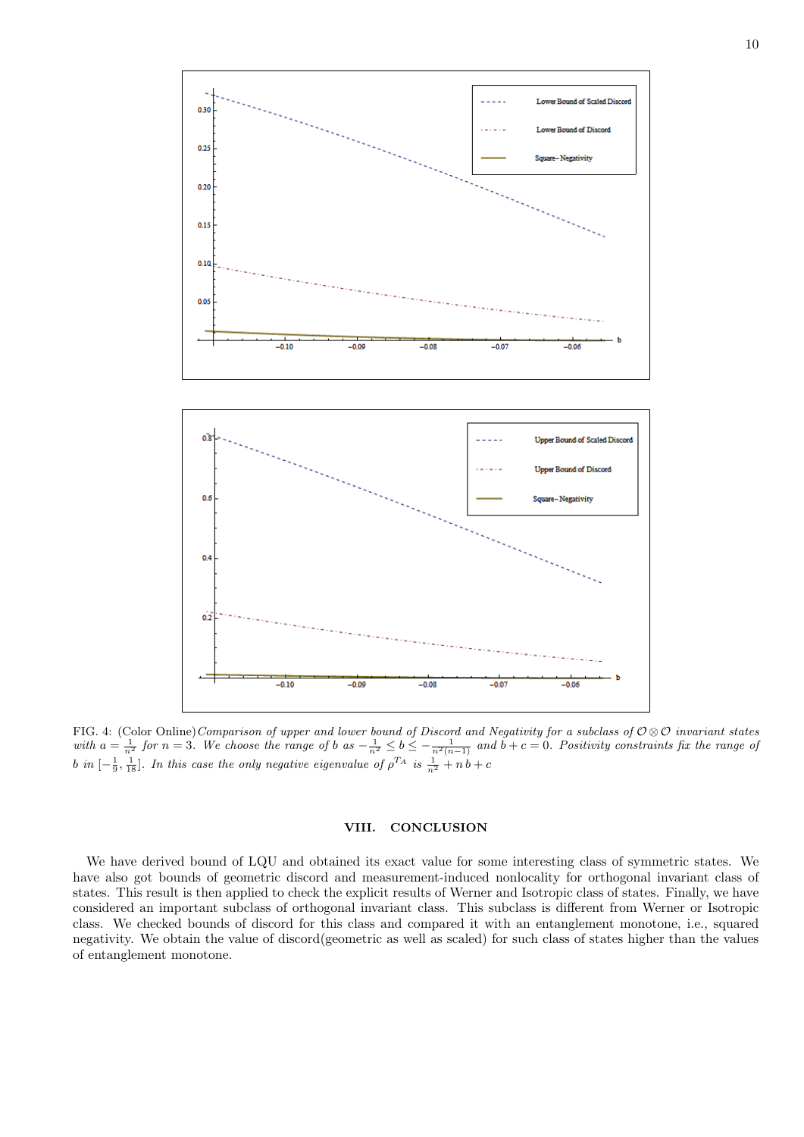

<span id="page-9-0"></span>FIG. 4: (Color Online)Comparison of upper and lower bound of Discord and Negativity for a subclass of  $\mathcal{O}\otimes\mathcal{O}$  invariant states with  $a = \frac{1}{n^2}$  for  $n = 3$ . We choose the range of b as  $-\frac{1}{n^2} \le b \le -\frac{1}{n^2(n-1)}$  and  $b + c = 0$ . Positivity constraints fix the range of b in  $[-\frac{1}{9}, \frac{1}{18}]$ . In this case the only negative eigenvalue of  $\rho^{T_A}$  is  $\frac{1}{n^2} + n b + c$ 

# VIII. CONCLUSION

We have derived bound of LQU and obtained its exact value for some interesting class of symmetric states. We have also got bounds of geometric discord and measurement-induced nonlocality for orthogonal invariant class of states. This result is then applied to check the explicit results of Werner and Isotropic class of states. Finally, we have considered an important subclass of orthogonal invariant class. This subclass is different from Werner or Isotropic class. We checked bounds of discord for this class and compared it with an entanglement monotone, i.e., squared negativity. We obtain the value of discord(geometric as well as scaled) for such class of states higher than the values of entanglement monotone.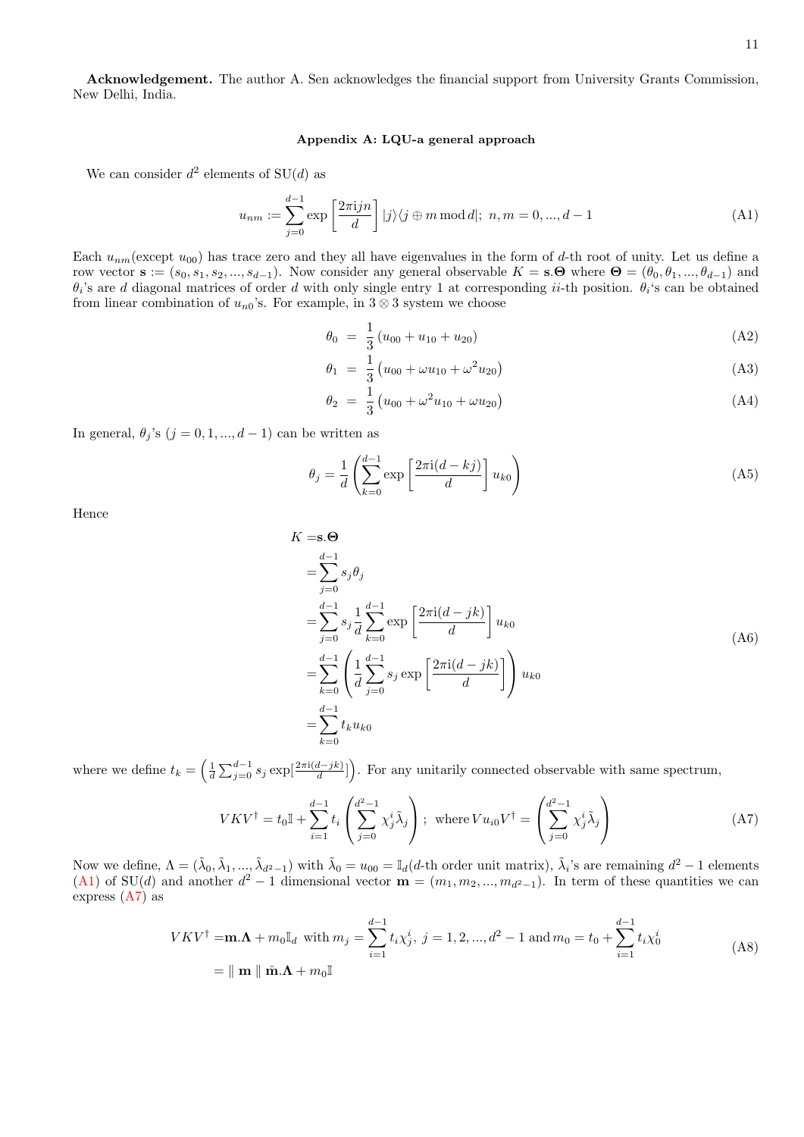Acknowledgement. The author A. Sen acknowledges the financial support from University Grants Commission, New Delhi, India.

## Appendix A: LQU-a general approach

We can consider  $d^2$  elements of  $SU(d)$  as

<span id="page-10-0"></span>
$$
u_{nm} := \sum_{j=0}^{d-1} \exp\left[\frac{2\pi i j n}{d}\right] |j\rangle\langle j \oplus m \mod d |; \ n, m = 0, ..., d-1 \tag{A1}
$$

Each  $u_{nm}$  (except  $u_{00}$ ) has trace zero and they all have eigenvalues in the form of d-th root of unity. Let us define a row vector  $\mathbf{s} := (s_0, s_1, s_2, ..., s_{d-1})$ . Now consider any general observable  $K = \mathbf{s} \cdot \mathbf{\Theta}$  where  $\mathbf{\Theta} = (\theta_0, \theta_1, ..., \theta_{d-1})$  and  $\theta_i$ 's are d diagonal matrices of order d with only single entry 1 at corresponding ii-th position.  $\theta_i$ 's can be obtained from linear combination of  $u_{n0}$ 's. For example, in 3 ⊗ 3 system we choose

$$
\theta_0 = \frac{1}{3} (u_{00} + u_{10} + u_{20})
$$
\n(A2)

$$
\theta_1 = \frac{1}{3} \left( u_{00} + \omega u_{10} + \omega^2 u_{20} \right) \tag{A3}
$$

$$
\theta_2 = \frac{1}{3} \left( u_{00} + \omega^2 u_{10} + \omega u_{20} \right) \tag{A4}
$$

In general,  $\theta_j$ 's  $(j = 0, 1, ..., d - 1)$  can be written as

$$
\theta_j = \frac{1}{d} \left( \sum_{k=0}^{d-1} \exp\left[\frac{2\pi i (d-kj)}{d}\right] u_{k0} \right) \tag{A5}
$$

Hence

$$
K = \mathbf{s}.\mathbf{\Theta}
$$
  
\n
$$
= \sum_{j=0}^{d-1} s_j \theta_j
$$
  
\n
$$
= \sum_{j=0}^{d-1} s_j \frac{1}{d} \sum_{k=0}^{d-1} \exp\left[\frac{2\pi i(d-jk)}{d}\right] u_{k0}
$$
  
\n
$$
= \sum_{k=0}^{d-1} \left(\frac{1}{d} \sum_{j=0}^{d-1} s_j \exp\left[\frac{2\pi i(d-jk)}{d}\right]\right) u_{k0}
$$
  
\n
$$
= \sum_{k=0}^{d-1} t_k u_{k0}
$$
 (A6)

where we define  $t_k = \left(\frac{1}{d} \sum_{j=0}^{d-1} s_j \exp\left[\frac{2\pi i (d-jk)}{d}\right]\right)$ . For any unitarily connected observable with same spectrum,

$$
VKV^{\dagger} = t_0 \mathbb{I} + \sum_{i=1}^{d-1} t_i \left( \sum_{j=0}^{d^2-1} \chi_j^i \tilde{\lambda}_j \right); \text{ where } V u_{i0} V^{\dagger} = \left( \sum_{j=0}^{d^2-1} \chi_j^i \tilde{\lambda}_j \right)
$$
 (A7)

<span id="page-10-1"></span>Now we define,  $\Lambda = (\tilde{\lambda}_0, \tilde{\lambda}_1, ..., \tilde{\lambda}_{d^2-1})$  with  $\tilde{\lambda}_0 = u_{00} = \mathbb{I}_d(d$ -th order unit matrix),  $\tilde{\lambda}_i$ 's are remaining  $d^2 - 1$  elements [\(A1\)](#page-10-0) of SU(d) and another  $d^2-1$  dimensional vector  $\mathbf{m} = (m_1, m_2, ..., m_{d^2-1})$ . In term of these quantities we can express [\(A7\)](#page-10-1) as

$$
VKV^{\dagger} = \mathbf{m}.\mathbf{\Lambda} + m_0 \mathbb{I}_d \text{ with } m_j = \sum_{i=1}^{d-1} t_i \chi_j^i, \ j = 1, 2, ..., d^2 - 1 \text{ and } m_0 = t_0 + \sum_{i=1}^{d-1} t_i \chi_0^i
$$
  
=  $\parallel \mathbf{m} \parallel \hat{\mathbf{m}}.\mathbf{\Lambda} + m_0 \mathbb{I}$  (A8)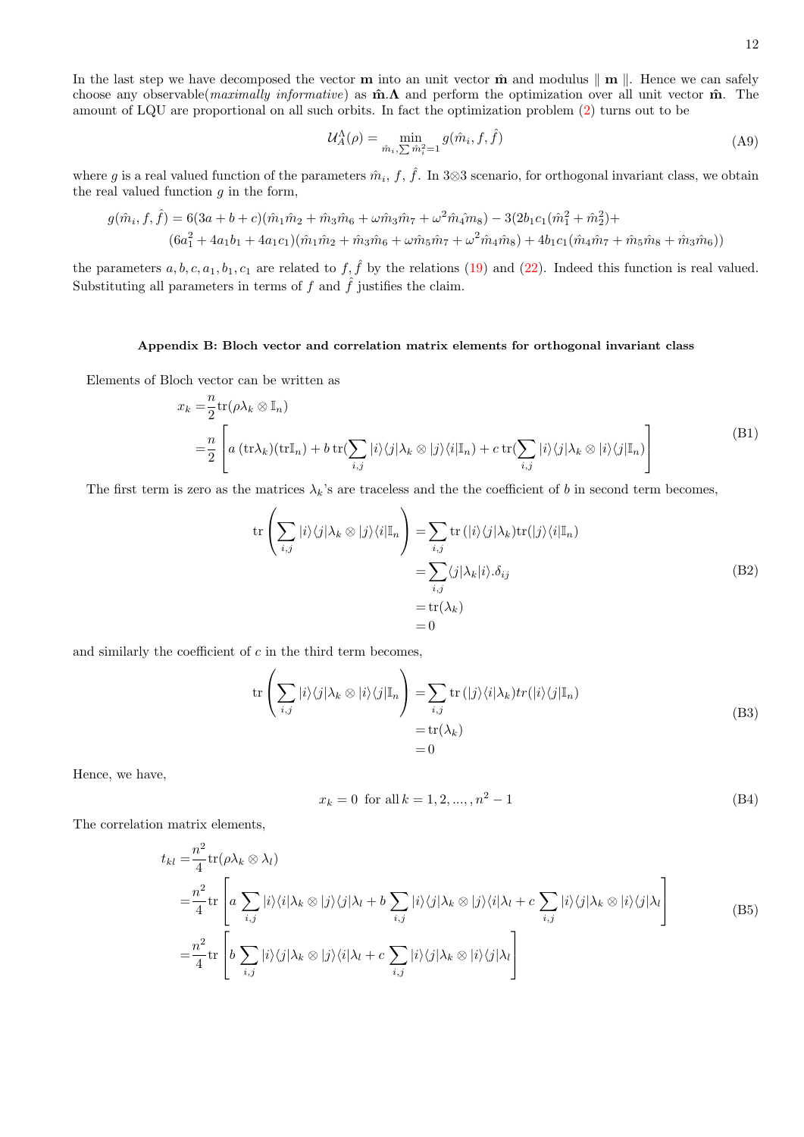In the last step we have decomposed the vector **m** into an unit vector  $\hat{\mathbf{m}}$  and modulus  $\|\mathbf{m}\|$ . Hence we can safely choose any observable(*maximally informative*) as  $\hat{\mathbf{m}}$ . A and perform the optimization over all unit vector  $\hat{\mathbf{m}}$ . The amount of LQU are proportional on all such orbits. In fact the optimization problem [\(2\)](#page-1-0) turns out to be

$$
\mathcal{U}_A^{\Lambda}(\rho) = \min_{\hat{m}_i, \sum \hat{m}_i^2 = 1} g(\hat{m}_i, f, \hat{f})
$$
\n(A9)

where g is a real valued function of the parameters  $\hat{m}_i$ ,  $f$ ,  $\hat{f}$ . In 3⊗3 scenario, for orthogonal invariant class, we obtain the real valued function  $g$  in the form,

$$
g(\hat{m}_i, f, \hat{f}) = 6(3a + b + c)(\hat{m}_1 \hat{m}_2 + \hat{m}_3 \hat{m}_6 + \omega \hat{m}_3 \hat{m}_7 + \omega^2 \hat{m}_4 \hat{m}_8) - 3(2b_1 c_1 (\hat{m}_1^2 + \hat{m}_2^2) + (6a_1^2 + 4a_1 b_1 + 4a_1 c_1)(\hat{m}_1 \hat{m}_2 + \hat{m}_3 \hat{m}_6 + \omega \hat{m}_5 \hat{m}_7 + \omega^2 \hat{m}_4 \hat{m}_8) + 4b_1 c_1 (\hat{m}_4 \hat{m}_7 + \hat{m}_5 \hat{m}_8 + \hat{m}_3 \hat{m}_6))
$$

the parameters  $a, b, c, a_1, b_1, c_1$  are related to  $f, \hat{f}$  by the relations [\(19\)](#page-4-2) and [\(22\)](#page-4-3). Indeed this function is real valued. Substituting all parameters in terms of  $f$  and  $\hat{f}$  justifies the claim.

# Appendix B: Bloch vector and correlation matrix elements for orthogonal invariant class

Elements of Bloch vector can be written as n

$$
x_k = \frac{n}{2} \text{tr}(\rho \lambda_k \otimes \mathbb{I}_n)
$$
  
= 
$$
\frac{n}{2} \left[ a \left( \text{tr} \lambda_k \right) (\text{tr} \mathbb{I}_n) + b \text{tr}(\sum_{i,j} |i\rangle \langle j| \lambda_k \otimes |j\rangle \langle i| \mathbb{I}_n) + c \text{tr}(\sum_{i,j} |i\rangle \langle j| \lambda_k \otimes |i\rangle \langle j| \mathbb{I}_n) \right]
$$
 (B1)

The first term is zero as the matrices  $\lambda_k$ 's are traceless and the the coefficient of b in second term becomes,

$$
\operatorname{tr}\left(\sum_{i,j}|i\rangle\langle j|\lambda_{k}\otimes|j\rangle\langle i|\mathbb{I}_{n}\right) = \sum_{i,j}\operatorname{tr}\left(|i\rangle\langle j|\lambda_{k}\rangle\operatorname{tr}(|j\rangle\langle i|\mathbb{I}_{n}\right)
$$

$$
= \sum_{i,j}\langle j|\lambda_{k}|i\rangle.\delta_{ij}
$$

$$
= \operatorname{tr}(\lambda_{k})
$$

$$
= 0
$$
(B2)

and similarly the coefficient of  $c$  in the third term becomes,

$$
\operatorname{tr}\left(\sum_{i,j}|i\rangle\langle j|\lambda_{k}\otimes|i\rangle\langle j|\mathbb{I}_{n}\right) = \sum_{i,j}\operatorname{tr}(|j\rangle\langle i|\lambda_{k})tr(|i\rangle\langle j|\mathbb{I}_{n})
$$
\n
$$
= \operatorname{tr}(\lambda_{k})
$$
\n
$$
= 0
$$
\n(B3)

Hence, we have,

$$
x_k = 0 \text{ for all } k = 1, 2, ..., n^2 - 1
$$
 (B4)

The correlation matrix elements,

$$
t_{kl} = \frac{n^2}{4} \text{tr}(\rho \lambda_k \otimes \lambda_l)
$$
  
\n
$$
= \frac{n^2}{4} \text{tr}\left[a \sum_{i,j} |i\rangle\langle i|\lambda_k \otimes |j\rangle\langle j|\lambda_l + b \sum_{i,j} |i\rangle\langle j|\lambda_k \otimes |j\rangle\langle i|\lambda_l + c \sum_{i,j} |i\rangle\langle j|\lambda_k \otimes |i\rangle\langle j|\lambda_l\right]
$$
  
\n
$$
= \frac{n^2}{4} \text{tr}\left[b \sum_{i,j} |i\rangle\langle j|\lambda_k \otimes |j\rangle\langle i|\lambda_l + c \sum_{i,j} |i\rangle\langle j|\lambda_k \otimes |i\rangle\langle j|\lambda_l\right]
$$
\n(B5)